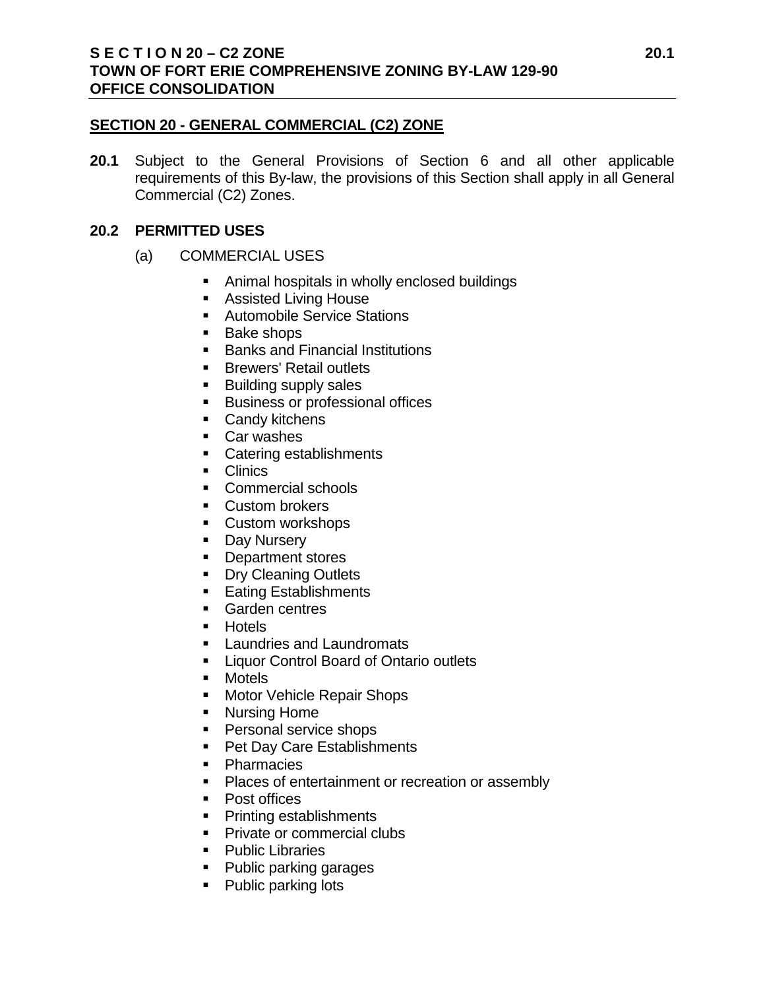### **SECTION 20 - GENERAL COMMERCIAL (C2) ZONE**

**20.1** Subject to the General Provisions of Section 6 and all other applicable requirements of this By-law, the provisions of this Section shall apply in all General Commercial (C2) Zones.

### **20.2 PERMITTED USES**

- (a) COMMERCIAL USES
	- Animal hospitals in wholly enclosed buildings
	- **Assisted Living House**
	- **Automobile Service Stations**
	- **Bake shops**
	- **Banks and Financial Institutions**
	- **Brewers' Retail outlets**
	- **Building supply sales**
	- **Business or professional offices**
	- **Candy kitchens**
	- Car washes
	- Catering establishments
	- **Clinics**
	- Commercial schools
	- **Custom brokers**
	- **Custom workshops**
	- Day Nursery
	- **Department stores**
	- **Dry Cleaning Outlets**
	- **Eating Establishments**
	- Garden centres
	- **Hotels**
	- **Laundries and Laundromats**
	- **Example 2** Liquor Control Board of Ontario outlets
	- **•** Motels
	- **Motor Vehicle Repair Shops**
	- **Nursing Home**
	- Personal service shops
	- Pet Day Care Establishments
	- Pharmacies
	- **Places of entertainment or recreation or assembly**
	- Post offices
	- Printing establishments
	- **Private or commercial clubs**
	- Public Libraries
	- Public parking garages
	- Public parking lots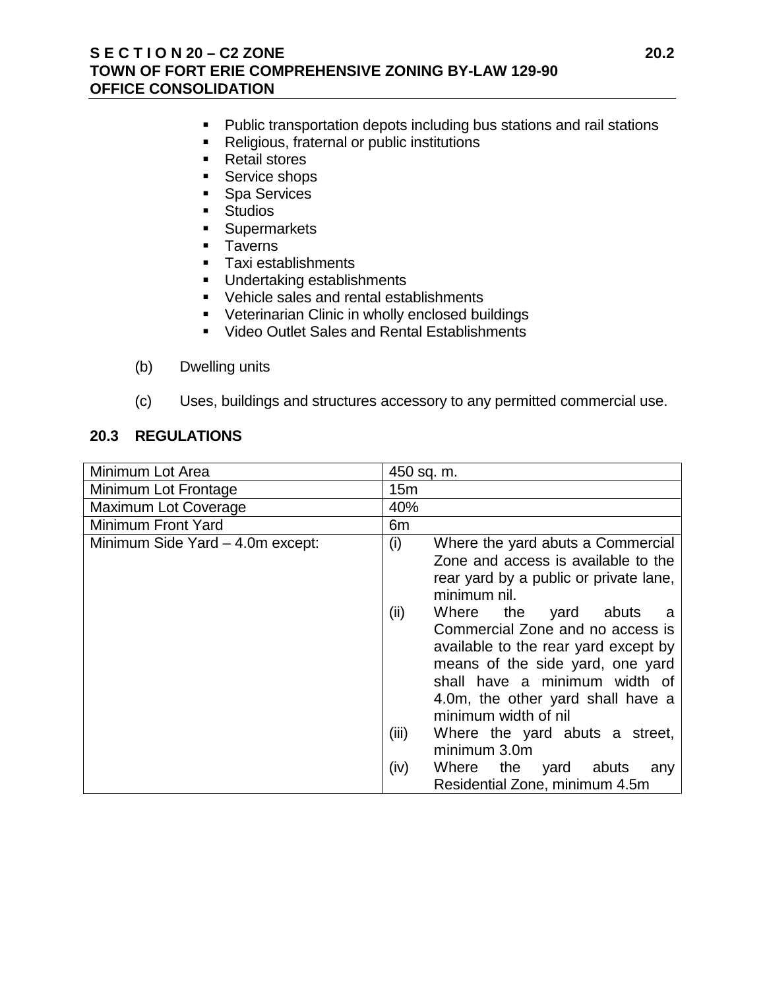### **S E C T I O N 20 – C2 ZONE 20.2 TOWN OF FORT ERIE COMPREHENSIVE ZONING BY-LAW 129-90 OFFICE CONSOLIDATION**

- **Public transportation depots including bus stations and rail stations**
- Religious, fraternal or public institutions
- Retail stores
- Service shops
- **Spa Services**
- **Studios**
- **Supermarkets**
- **Taverns**
- **Taxi establishments**
- **Undertaking establishments**
- Vehicle sales and rental establishments
- **Veterinarian Clinic in wholly enclosed buildings**
- **Video Outlet Sales and Rental Establishments**
- (b) Dwelling units
- (c) Uses, buildings and structures accessory to any permitted commercial use.

## **20.3 REGULATIONS**

| Minimum Lot Area                 | 450 sq. m.                                                                                                                                                                                                 |
|----------------------------------|------------------------------------------------------------------------------------------------------------------------------------------------------------------------------------------------------------|
| Minimum Lot Frontage             | 15m                                                                                                                                                                                                        |
| Maximum Lot Coverage             | 40%                                                                                                                                                                                                        |
| <b>Minimum Front Yard</b>        | 6m                                                                                                                                                                                                         |
| Minimum Side Yard - 4.0m except: | (i)<br>Where the yard abuts a Commercial<br>Zone and access is available to the<br>rear yard by a public or private lane,<br>minimum nil.<br>(ii)<br>Where the<br>yard<br>abuts<br>- a                     |
|                                  | Commercial Zone and no access is<br>available to the rear yard except by<br>means of the side yard, one yard<br>shall have a minimum width of<br>4.0m, the other yard shall have a<br>minimum width of nil |
|                                  | (iii)<br>Where the yard abuts a street,<br>minimum 3.0m                                                                                                                                                    |
|                                  | Where the yard abuts<br>(iv)<br>any<br>Residential Zone, minimum 4.5m                                                                                                                                      |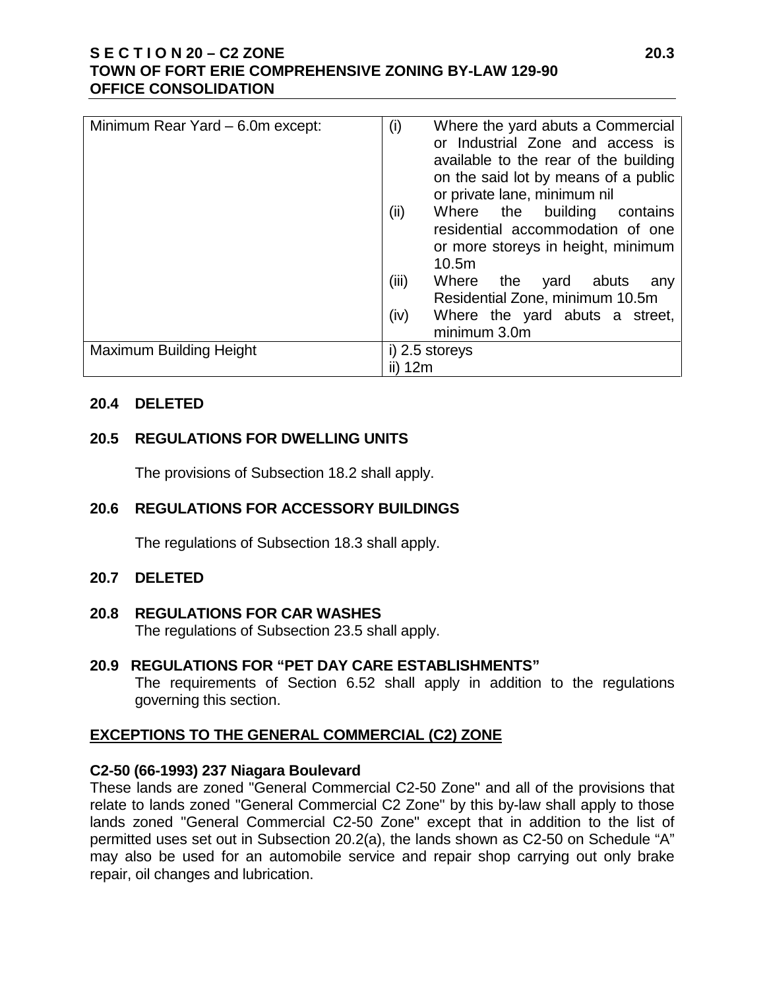## **S E C T I O N 20 – C2 ZONE 20.3 TOWN OF FORT ERIE COMPREHENSIVE ZONING BY-LAW 129-90 OFFICE CONSOLIDATION**

| Minimum Rear Yard – 6.0m except: | (i)<br>Where the yard abuts a Commercial<br>or Industrial Zone and access is<br>available to the rear of the building<br>on the said lot by means of a public<br>or private lane, minimum nil |
|----------------------------------|-----------------------------------------------------------------------------------------------------------------------------------------------------------------------------------------------|
|                                  | (ii)<br>Where the building contains<br>residential accommodation of one<br>or more storeys in height, minimum<br>10.5m                                                                        |
|                                  | (iii)<br>Where the<br>yard abuts<br>any<br>Residential Zone, minimum 10.5m                                                                                                                    |
|                                  | (iv)<br>Where the yard abuts a street,<br>minimum 3.0m                                                                                                                                        |
| Maximum Building Height          | i) 2.5 storeys                                                                                                                                                                                |
|                                  | ii) 12m                                                                                                                                                                                       |

### **20.4 DELETED**

## **20.5 REGULATIONS FOR DWELLING UNITS**

The provisions of Subsection 18.2 shall apply.

## **20.6 REGULATIONS FOR ACCESSORY BUILDINGS**

The regulations of Subsection 18.3 shall apply.

### **20.7 DELETED**

**20.8 REGULATIONS FOR CAR WASHES** The regulations of Subsection 23.5 shall apply.

## **20.9 REGULATIONS FOR "PET DAY CARE ESTABLISHMENTS"**

The requirements of Section 6.52 shall apply in addition to the regulations governing this section.

## **EXCEPTIONS TO THE GENERAL COMMERCIAL (C2) ZONE**

## **C2-50 (66-1993) 237 Niagara Boulevard**

These lands are zoned "General Commercial C2-50 Zone" and all of the provisions that relate to lands zoned "General Commercial C2 Zone" by this by-law shall apply to those lands zoned "General Commercial C2-50 Zone" except that in addition to the list of permitted uses set out in Subsection 20.2(a), the lands shown as C2-50 on Schedule "A" may also be used for an automobile service and repair shop carrying out only brake repair, oil changes and lubrication.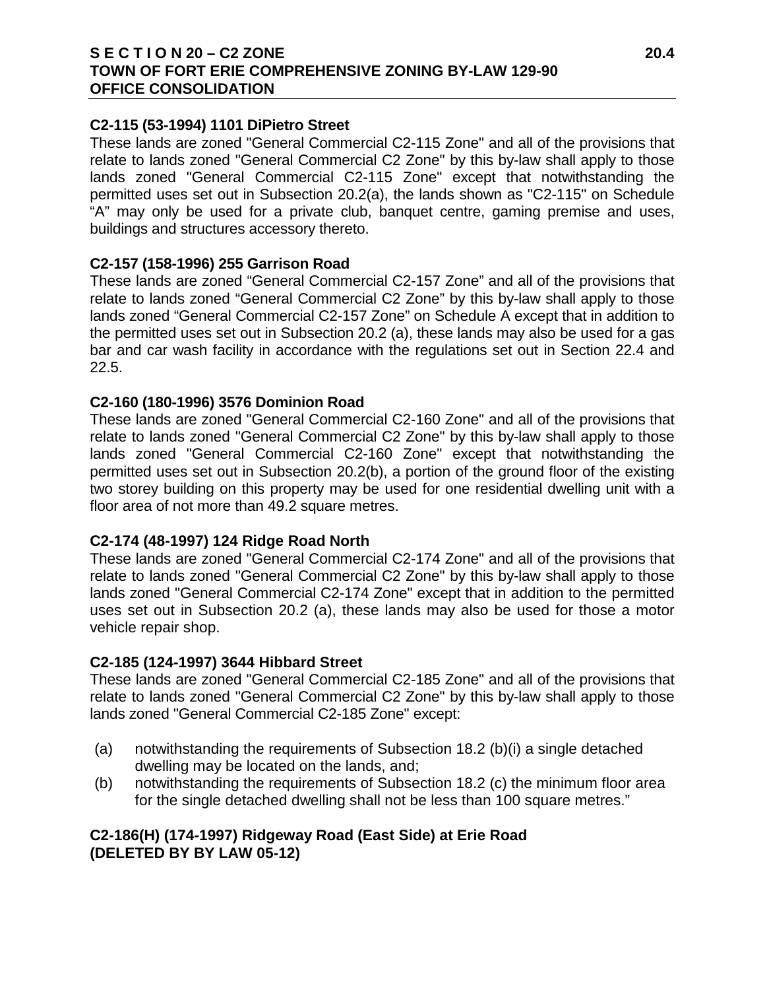### **S E C T I O N 20 – C2 ZONE 20.4 TOWN OF FORT ERIE COMPREHENSIVE ZONING BY-LAW 129-90 OFFICE CONSOLIDATION**

## **C2-115 (53-1994) 1101 DiPietro Street**

These lands are zoned "General Commercial C2-115 Zone" and all of the provisions that relate to lands zoned "General Commercial C2 Zone" by this by-law shall apply to those lands zoned "General Commercial C2-115 Zone" except that notwithstanding the permitted uses set out in Subsection 20.2(a), the lands shown as "C2-115" on Schedule "A" may only be used for a private club, banquet centre, gaming premise and uses, buildings and structures accessory thereto.

### **C2-157 (158-1996) 255 Garrison Road**

These lands are zoned "General Commercial C2-157 Zone" and all of the provisions that relate to lands zoned "General Commercial C2 Zone" by this by-law shall apply to those lands zoned "General Commercial C2-157 Zone" on Schedule A except that in addition to the permitted uses set out in Subsection 20.2 (a), these lands may also be used for a gas bar and car wash facility in accordance with the regulations set out in Section 22.4 and 22.5.

### **C2-160 (180-1996) 3576 Dominion Road**

These lands are zoned "General Commercial C2-160 Zone" and all of the provisions that relate to lands zoned "General Commercial C2 Zone" by this by-law shall apply to those lands zoned "General Commercial C2-160 Zone" except that notwithstanding the permitted uses set out in Subsection 20.2(b), a portion of the ground floor of the existing two storey building on this property may be used for one residential dwelling unit with a floor area of not more than 49.2 square metres.

## **C2-174 (48-1997) 124 Ridge Road North**

These lands are zoned "General Commercial C2-174 Zone" and all of the provisions that relate to lands zoned "General Commercial C2 Zone" by this by-law shall apply to those lands zoned "General Commercial C2-174 Zone" except that in addition to the permitted uses set out in Subsection 20.2 (a), these lands may also be used for those a motor vehicle repair shop.

### **C2-185 (124-1997) 3644 Hibbard Street**

These lands are zoned "General Commercial C2-185 Zone" and all of the provisions that relate to lands zoned "General Commercial C2 Zone" by this by-law shall apply to those lands zoned "General Commercial C2-185 Zone" except:

- (a) notwithstanding the requirements of Subsection 18.2 (b)(i) a single detached dwelling may be located on the lands, and;
- (b) notwithstanding the requirements of Subsection 18.2 (c) the minimum floor area for the single detached dwelling shall not be less than 100 square metres."

# **C2-186(H) (174-1997) Ridgeway Road (East Side) at Erie Road (DELETED BY BY LAW 05-12)**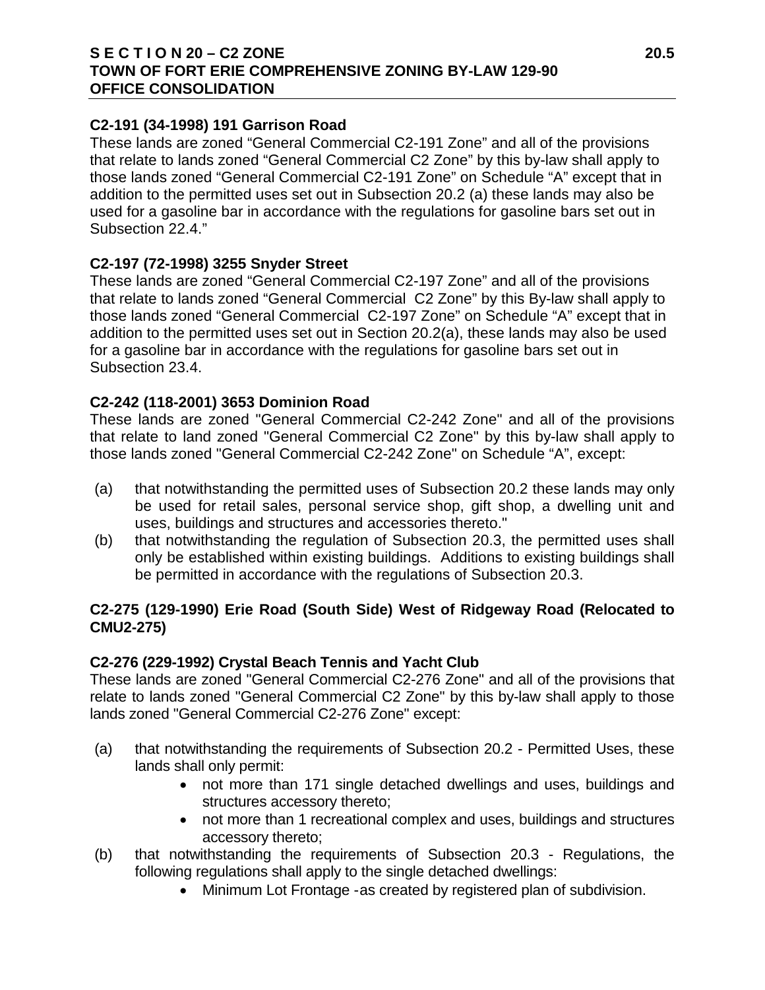## **S E C T I O N 20 – C2 ZONE 20.5 TOWN OF FORT ERIE COMPREHENSIVE ZONING BY-LAW 129-90 OFFICE CONSOLIDATION**

## **C2-191 (34-1998) 191 Garrison Road**

These lands are zoned "General Commercial C2-191 Zone" and all of the provisions that relate to lands zoned "General Commercial C2 Zone" by this by-law shall apply to those lands zoned "General Commercial C2-191 Zone" on Schedule "A" except that in addition to the permitted uses set out in Subsection 20.2 (a) these lands may also be used for a gasoline bar in accordance with the regulations for gasoline bars set out in Subsection 22.4."

## **C2-197 (72-1998) 3255 Snyder Street**

These lands are zoned "General Commercial C2-197 Zone" and all of the provisions that relate to lands zoned "General Commercial C2 Zone" by this By-law shall apply to those lands zoned "General Commercial C2-197 Zone" on Schedule "A" except that in addition to the permitted uses set out in Section 20.2(a), these lands may also be used for a gasoline bar in accordance with the regulations for gasoline bars set out in Subsection 23.4.

# **C2-242 (118-2001) 3653 Dominion Road**

These lands are zoned "General Commercial C2-242 Zone" and all of the provisions that relate to land zoned "General Commercial C2 Zone" by this by-law shall apply to those lands zoned "General Commercial C2-242 Zone" on Schedule "A", except:

- (a) that notwithstanding the permitted uses of Subsection 20.2 these lands may only be used for retail sales, personal service shop, gift shop, a dwelling unit and uses, buildings and structures and accessories thereto."
- (b) that notwithstanding the regulation of Subsection 20.3, the permitted uses shall only be established within existing buildings. Additions to existing buildings shall be permitted in accordance with the regulations of Subsection 20.3.

# **C2-275 (129-1990) Erie Road (South Side) West of Ridgeway Road (Relocated to CMU2-275)**

# **C2-276 (229-1992) Crystal Beach Tennis and Yacht Club**

These lands are zoned "General Commercial C2-276 Zone" and all of the provisions that relate to lands zoned "General Commercial C2 Zone" by this by-law shall apply to those lands zoned "General Commercial C2-276 Zone" except:

- (a) that notwithstanding the requirements of Subsection 20.2 Permitted Uses, these lands shall only permit:
	- not more than 171 single detached dwellings and uses, buildings and structures accessory thereto;
	- not more than 1 recreational complex and uses, buildings and structures accessory thereto;
- (b) that notwithstanding the requirements of Subsection 20.3 Regulations, the following regulations shall apply to the single detached dwellings:
	- Minimum Lot Frontage -as created by registered plan of subdivision.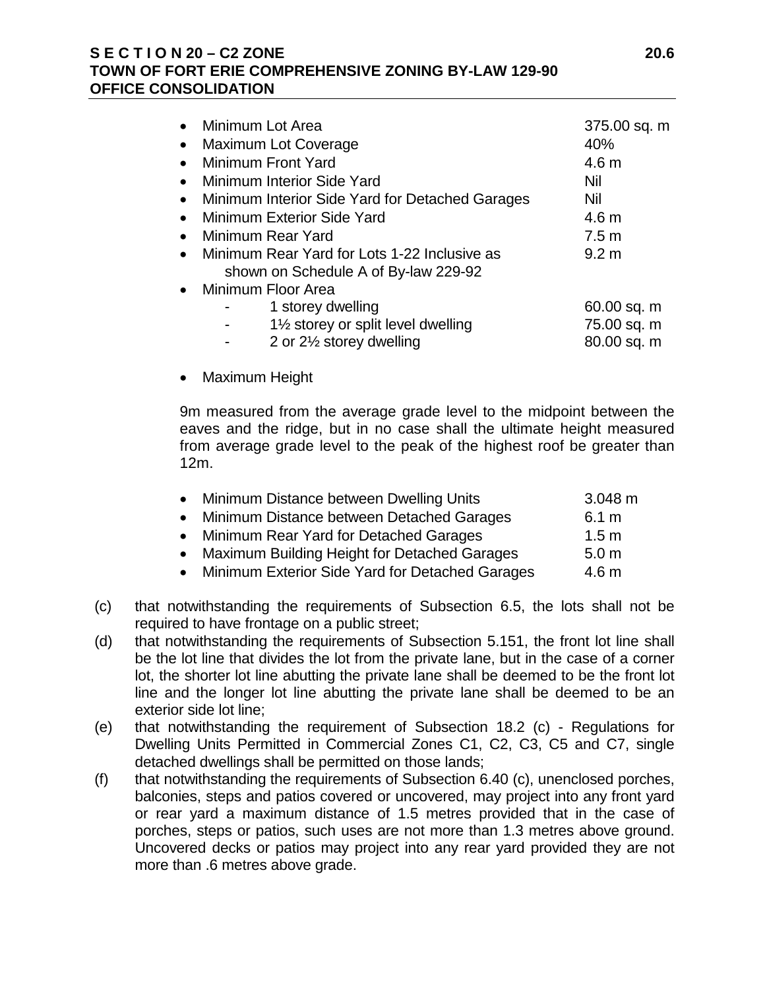## **S E C T I O N 20 – C2 ZONE 20.6 TOWN OF FORT ERIE COMPREHENSIVE ZONING BY-LAW 129-90 OFFICE CONSOLIDATION**

|           | Minimum Lot Area                                                                     | 375.00 sq. m     |
|-----------|--------------------------------------------------------------------------------------|------------------|
| $\bullet$ | <b>Maximum Lot Coverage</b>                                                          | 40%              |
|           | Minimum Front Yard                                                                   | 4.6 <sub>m</sub> |
|           | Minimum Interior Side Yard                                                           | Nil              |
|           | Minimum Interior Side Yard for Detached Garages                                      | Nil              |
|           | <b>Minimum Exterior Side Yard</b>                                                    | 4.6 <sub>m</sub> |
|           | Minimum Rear Yard                                                                    | 7.5 <sub>m</sub> |
| $\bullet$ | Minimum Rear Yard for Lots 1-22 Inclusive as<br>shown on Schedule A of By-law 229-92 | 9.2 <sub>m</sub> |
|           | Minimum Floor Area                                                                   |                  |
|           | 1 storey dwelling                                                                    | 60.00 sq. m      |
|           | 11/2 storey or split level dwelling                                                  | 75.00 sq. m      |
|           | 2 or 21/2 storey dwelling                                                            | 80.00 sq. m      |
|           |                                                                                      |                  |

• Maximum Height

9m measured from the average grade level to the midpoint between the eaves and the ridge, but in no case shall the ultimate height measured from average grade level to the peak of the highest roof be greater than 12m.

| • Minimum Distance between Dwelling Units       | $3.048 \text{ m}$ |
|-------------------------------------------------|-------------------|
| Minimum Distance between Detached Garages       | 6.1 m             |
| • Minimum Rear Yard for Detached Garages        | 1.5 <sub>m</sub>  |
| • Maximum Building Height for Detached Garages  | 5.0 <sub>m</sub>  |
| Minimum Exterior Side Yard for Detached Garages | 4.6 <sub>m</sub>  |

- (c) that notwithstanding the requirements of Subsection 6.5, the lots shall not be required to have frontage on a public street;
- (d) that notwithstanding the requirements of Subsection 5.151, the front lot line shall be the lot line that divides the lot from the private lane, but in the case of a corner lot, the shorter lot line abutting the private lane shall be deemed to be the front lot line and the longer lot line abutting the private lane shall be deemed to be an exterior side lot line;
- (e) that notwithstanding the requirement of Subsection 18.2 (c) Regulations for Dwelling Units Permitted in Commercial Zones C1, C2, C3, C5 and C7, single detached dwellings shall be permitted on those lands;
- (f) that notwithstanding the requirements of Subsection 6.40 (c), unenclosed porches, balconies, steps and patios covered or uncovered, may project into any front yard or rear yard a maximum distance of 1.5 metres provided that in the case of porches, steps or patios, such uses are not more than 1.3 metres above ground. Uncovered decks or patios may project into any rear yard provided they are not more than .6 metres above grade.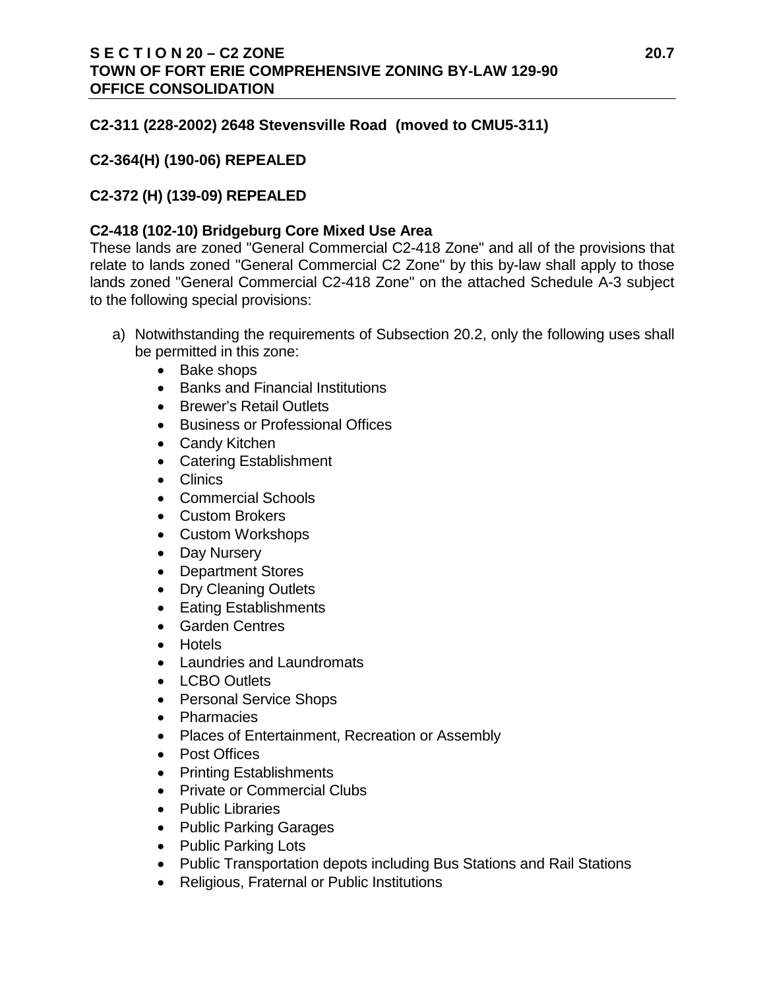## **C2-311 (228-2002) 2648 Stevensville Road (moved to CMU5-311)**

## **C2-364(H) (190-06) REPEALED**

# **C2-372 (H) (139-09) REPEALED**

## **C2-418 (102-10) Bridgeburg Core Mixed Use Area**

These lands are zoned "General Commercial C2-418 Zone" and all of the provisions that relate to lands zoned "General Commercial C2 Zone" by this by-law shall apply to those lands zoned "General Commercial C2-418 Zone" on the attached Schedule A-3 subject to the following special provisions:

- a) Notwithstanding the requirements of Subsection 20.2, only the following uses shall be permitted in this zone:
	- Bake shops
	- Banks and Financial Institutions
	- Brewer's Retail Outlets
	- Business or Professional Offices
	- Candy Kitchen
	- Catering Establishment
	- Clinics
	- Commercial Schools
	- Custom Brokers
	- Custom Workshops
	- Day Nursery
	- Department Stores
	- Dry Cleaning Outlets
	- Eating Establishments
	- Garden Centres
	- Hotels
	- Laundries and Laundromats
	- LCBO Outlets
	- Personal Service Shops
	- Pharmacies
	- Places of Entertainment, Recreation or Assembly
	- Post Offices
	- Printing Establishments
	- Private or Commercial Clubs
	- Public Libraries
	- Public Parking Garages
	- Public Parking Lots
	- Public Transportation depots including Bus Stations and Rail Stations
	- Religious, Fraternal or Public Institutions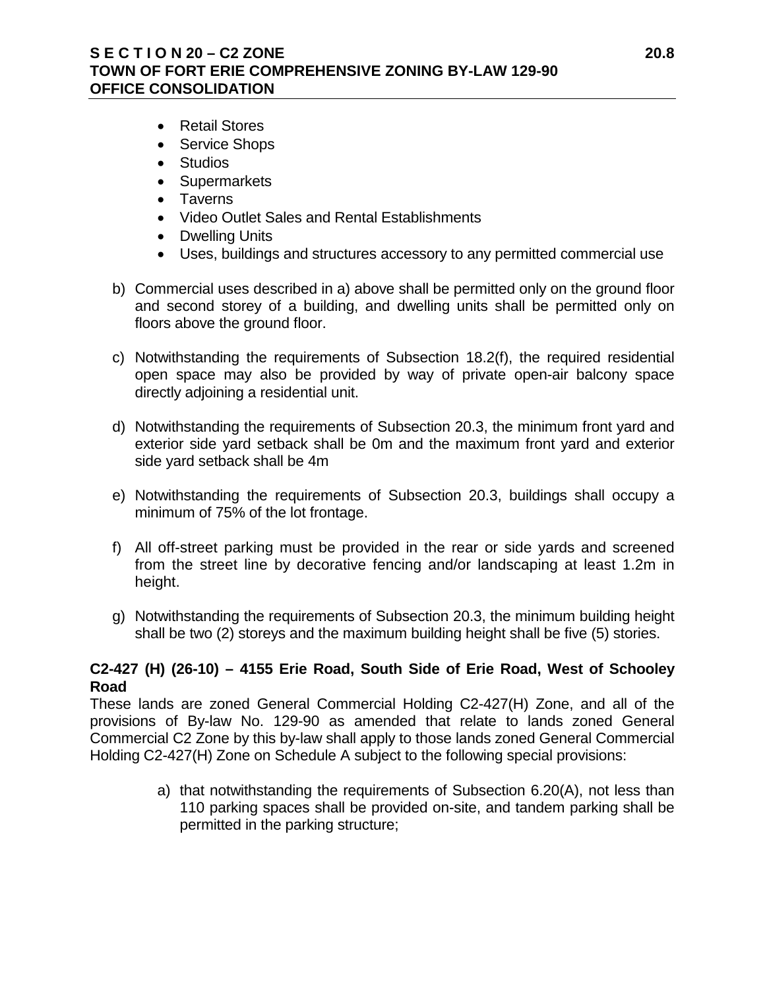# **S E C T I O N 20 – C2 ZONE 20.8 TOWN OF FORT ERIE COMPREHENSIVE ZONING BY-LAW 129-90 OFFICE CONSOLIDATION**

- Retail Stores
- Service Shops
- Studios
- Supermarkets
- Taverns
- Video Outlet Sales and Rental Establishments
- Dwelling Units
- Uses, buildings and structures accessory to any permitted commercial use
- b) Commercial uses described in a) above shall be permitted only on the ground floor and second storey of a building, and dwelling units shall be permitted only on floors above the ground floor.
- c) Notwithstanding the requirements of Subsection 18.2(f), the required residential open space may also be provided by way of private open-air balcony space directly adjoining a residential unit.
- d) Notwithstanding the requirements of Subsection 20.3, the minimum front yard and exterior side yard setback shall be 0m and the maximum front yard and exterior side yard setback shall be 4m
- e) Notwithstanding the requirements of Subsection 20.3, buildings shall occupy a minimum of 75% of the lot frontage.
- f) All off-street parking must be provided in the rear or side yards and screened from the street line by decorative fencing and/or landscaping at least 1.2m in height.
- g) Notwithstanding the requirements of Subsection 20.3, the minimum building height shall be two (2) storeys and the maximum building height shall be five (5) stories.

# **C2-427 (H) (26-10) – 4155 Erie Road, South Side of Erie Road, West of Schooley Road**

These lands are zoned General Commercial Holding C2-427(H) Zone, and all of the provisions of By-law No. 129-90 as amended that relate to lands zoned General Commercial C2 Zone by this by-law shall apply to those lands zoned General Commercial Holding C2-427(H) Zone on Schedule A subject to the following special provisions:

> a) that notwithstanding the requirements of Subsection 6.20(A), not less than 110 parking spaces shall be provided on-site, and tandem parking shall be permitted in the parking structure;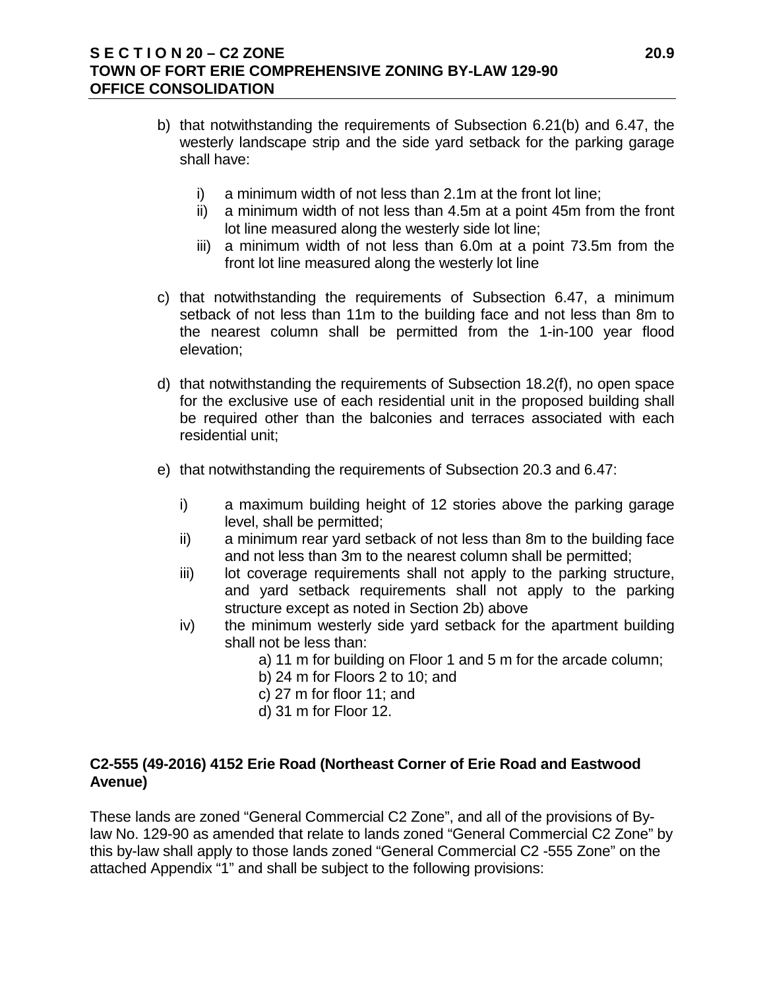## **S E C T I O N 20 – C2 ZONE 20.9 TOWN OF FORT ERIE COMPREHENSIVE ZONING BY-LAW 129-90 OFFICE CONSOLIDATION**

- b) that notwithstanding the requirements of Subsection 6.21(b) and 6.47, the westerly landscape strip and the side yard setback for the parking garage shall have:
	- i) a minimum width of not less than 2.1m at the front lot line;
	- ii) a minimum width of not less than 4.5m at a point 45m from the front lot line measured along the westerly side lot line;
	- iii) a minimum width of not less than 6.0m at a point 73.5m from the front lot line measured along the westerly lot line
- c) that notwithstanding the requirements of Subsection 6.47, a minimum setback of not less than 11m to the building face and not less than 8m to the nearest column shall be permitted from the 1-in-100 year flood elevation;
- d) that notwithstanding the requirements of Subsection 18.2(f), no open space for the exclusive use of each residential unit in the proposed building shall be required other than the balconies and terraces associated with each residential unit;
- e) that notwithstanding the requirements of Subsection 20.3 and 6.47:
	- i) a maximum building height of 12 stories above the parking garage level, shall be permitted;
	- ii) a minimum rear yard setback of not less than 8m to the building face and not less than 3m to the nearest column shall be permitted;
	- iii) lot coverage requirements shall not apply to the parking structure, and yard setback requirements shall not apply to the parking structure except as noted in Section 2b) above
	- iv) the minimum westerly side yard setback for the apartment building shall not be less than:
		- a) 11 m for building on Floor 1 and 5 m for the arcade column;
		- b) 24 m for Floors 2 to 10; and
		- c) 27 m for floor 11; and
		- d) 31 m for Floor 12.

# **C2-555 (49-2016) 4152 Erie Road (Northeast Corner of Erie Road and Eastwood Avenue)**

These lands are zoned "General Commercial C2 Zone", and all of the provisions of Bylaw No. 129-90 as amended that relate to lands zoned "General Commercial C2 Zone" by this by-law shall apply to those lands zoned "General Commercial C2 -555 Zone" on the attached Appendix "1" and shall be subject to the following provisions: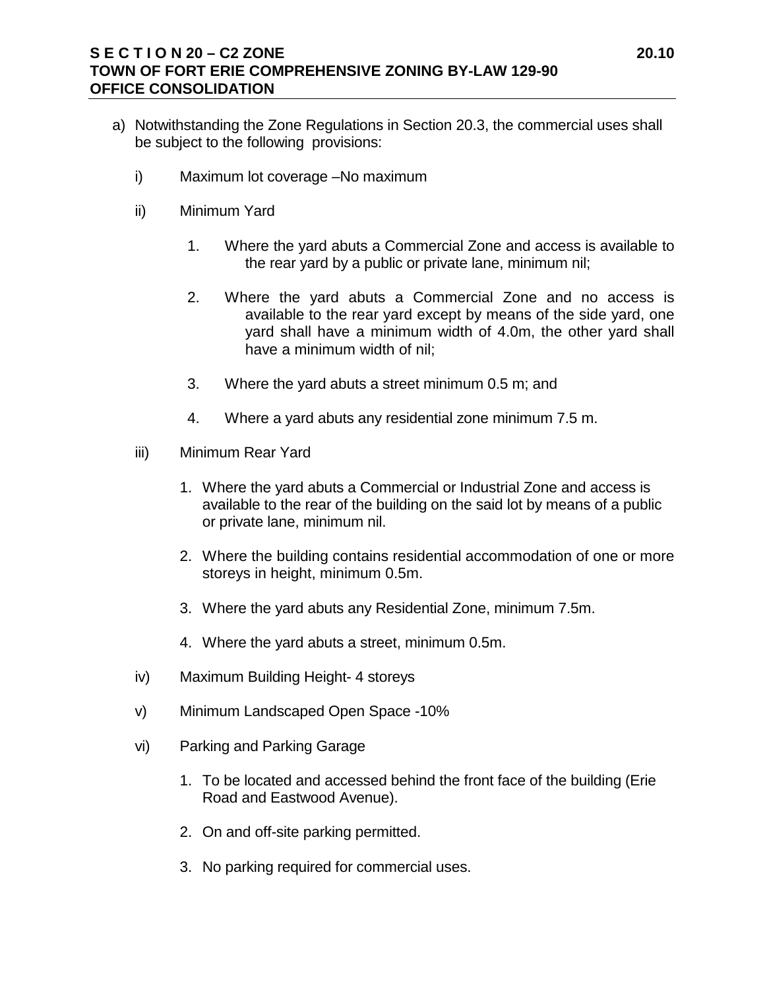## **S E C T I O N 20 – C2 ZONE 20.10 TOWN OF FORT ERIE COMPREHENSIVE ZONING BY-LAW 129-90 OFFICE CONSOLIDATION**

- a) Notwithstanding the Zone Regulations in Section 20.3, the commercial uses shall be subject to the following provisions:
	- i) Maximum lot coverage –No maximum
	- ii) Minimum Yard
		- 1. Where the yard abuts a Commercial Zone and access is available to the rear yard by a public or private lane, minimum nil;
		- 2. Where the yard abuts a Commercial Zone and no access is available to the rear yard except by means of the side yard, one yard shall have a minimum width of 4.0m, the other yard shall have a minimum width of nil;
		- 3. Where the yard abuts a street minimum 0.5 m; and
		- 4. Where a yard abuts any residential zone minimum 7.5 m.
	- iii) Minimum Rear Yard
		- 1. Where the yard abuts a Commercial or Industrial Zone and access is available to the rear of the building on the said lot by means of a public or private lane, minimum nil.
		- 2. Where the building contains residential accommodation of one or more storeys in height, minimum 0.5m.
		- 3. Where the yard abuts any Residential Zone, minimum 7.5m.
		- 4. Where the yard abuts a street, minimum 0.5m.
	- iv) Maximum Building Height- 4 storeys
	- v) Minimum Landscaped Open Space -10%
	- vi) Parking and Parking Garage
		- 1. To be located and accessed behind the front face of the building (Erie Road and Eastwood Avenue).
		- 2. On and off-site parking permitted.
		- 3. No parking required for commercial uses.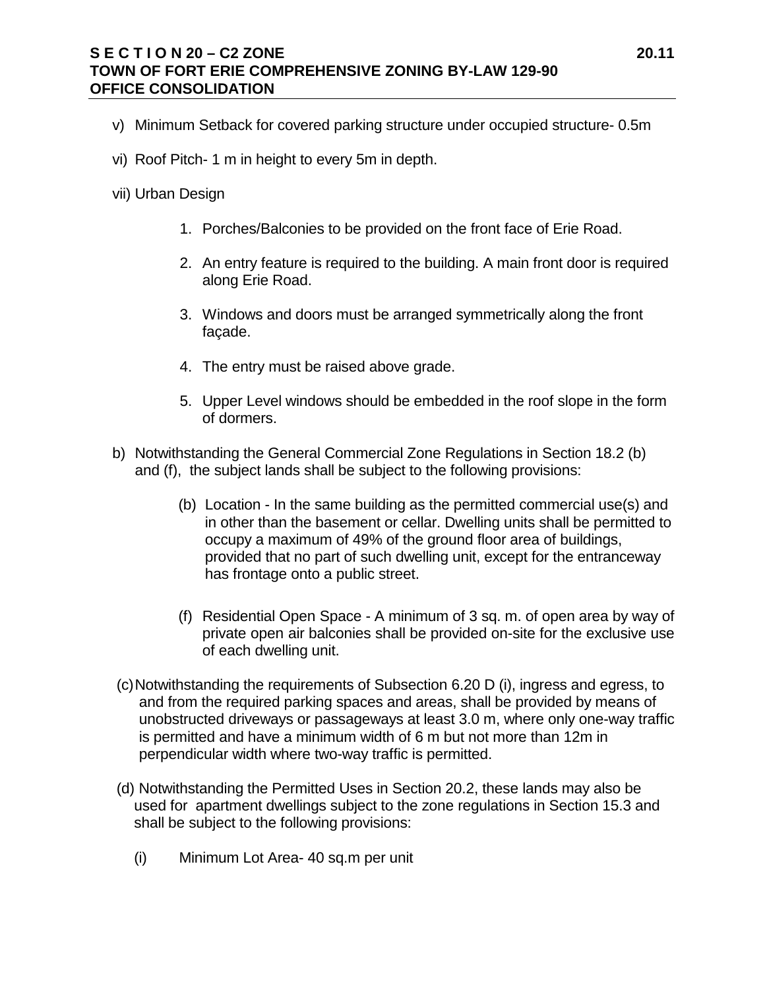## **S E C T I O N 20 – C2 ZONE 20.11 TOWN OF FORT ERIE COMPREHENSIVE ZONING BY-LAW 129-90 OFFICE CONSOLIDATION**

- v) Minimum Setback for covered parking structure under occupied structure- 0.5m
- vi) Roof Pitch- 1 m in height to every 5m in depth.
- vii) Urban Design
	- 1. Porches/Balconies to be provided on the front face of Erie Road.
	- 2. An entry feature is required to the building. A main front door is required along Erie Road.
	- 3. Windows and doors must be arranged symmetrically along the front façade.
	- 4. The entry must be raised above grade.
	- 5. Upper Level windows should be embedded in the roof slope in the form of dormers.
- b) Notwithstanding the General Commercial Zone Regulations in Section 18.2 (b) and (f), the subject lands shall be subject to the following provisions:
	- (b) Location In the same building as the permitted commercial use(s) and in other than the basement or cellar. Dwelling units shall be permitted to occupy a maximum of 49% of the ground floor area of buildings, provided that no part of such dwelling unit, except for the entranceway has frontage onto a public street.
	- (f) Residential Open Space A minimum of 3 sq. m. of open area by way of private open air balconies shall be provided on-site for the exclusive use of each dwelling unit.
- (c)Notwithstanding the requirements of Subsection 6.20 D (i), ingress and egress, to and from the required parking spaces and areas, shall be provided by means of unobstructed driveways or passageways at least 3.0 m, where only one-way traffic is permitted and have a minimum width of 6 m but not more than 12m in perpendicular width where two-way traffic is permitted.
- (d) Notwithstanding the Permitted Uses in Section 20.2, these lands may also be used for apartment dwellings subject to the zone regulations in Section 15.3 and shall be subject to the following provisions:
	- (i) Minimum Lot Area- 40 sq.m per unit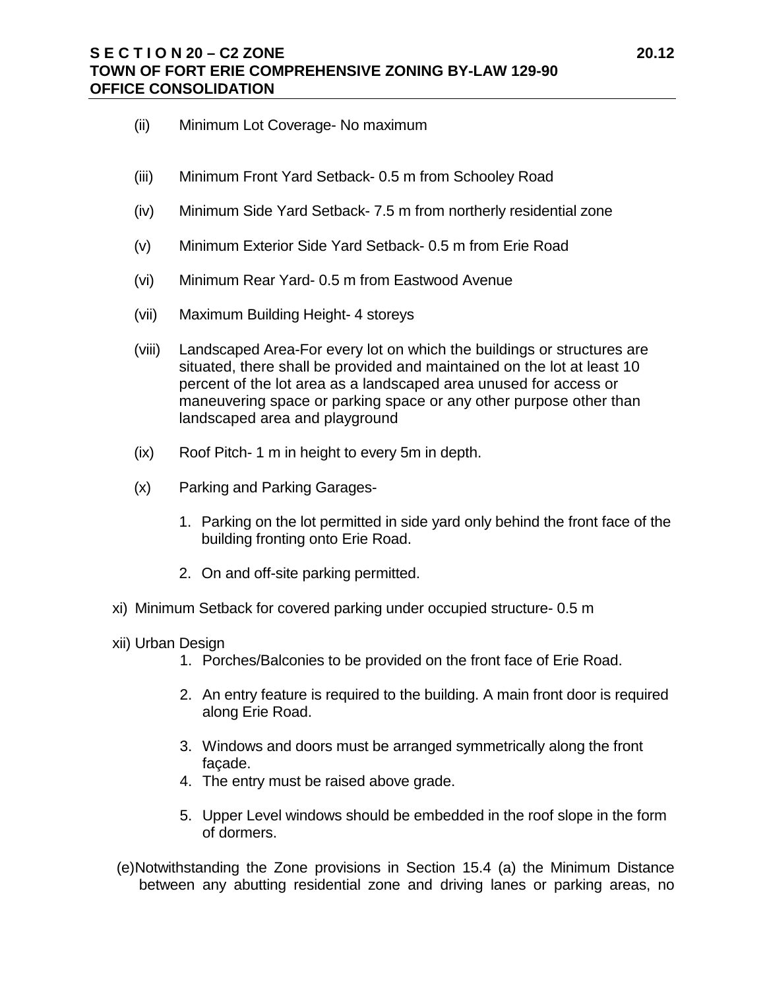## **S E C T I O N 20 – C2 ZONE 20.12 TOWN OF FORT ERIE COMPREHENSIVE ZONING BY-LAW 129-90 OFFICE CONSOLIDATION**

- (ii) Minimum Lot Coverage- No maximum
- (iii) Minimum Front Yard Setback- 0.5 m from Schooley Road
- (iv) Minimum Side Yard Setback- 7.5 m from northerly residential zone
- (v) Minimum Exterior Side Yard Setback- 0.5 m from Erie Road
- (vi) Minimum Rear Yard- 0.5 m from Eastwood Avenue
- (vii) Maximum Building Height- 4 storeys
- (viii) Landscaped Area-For every lot on which the buildings or structures are situated, there shall be provided and maintained on the lot at least 10 percent of the lot area as a landscaped area unused for access or maneuvering space or parking space or any other purpose other than landscaped area and playground
- (ix) Roof Pitch- 1 m in height to every 5m in depth.
- (x) Parking and Parking Garages-
	- 1. Parking on the lot permitted in side yard only behind the front face of the building fronting onto Erie Road.
	- 2. On and off-site parking permitted.
- xi) Minimum Setback for covered parking under occupied structure- 0.5 m
- xii) Urban Design
	- 1. Porches/Balconies to be provided on the front face of Erie Road.
	- 2. An entry feature is required to the building. A main front door is required along Erie Road.
	- 3. Windows and doors must be arranged symmetrically along the front façade.
	- 4. The entry must be raised above grade.
	- 5. Upper Level windows should be embedded in the roof slope in the form of dormers.
- (e)Notwithstanding the Zone provisions in Section 15.4 (a) the Minimum Distance between any abutting residential zone and driving lanes or parking areas, no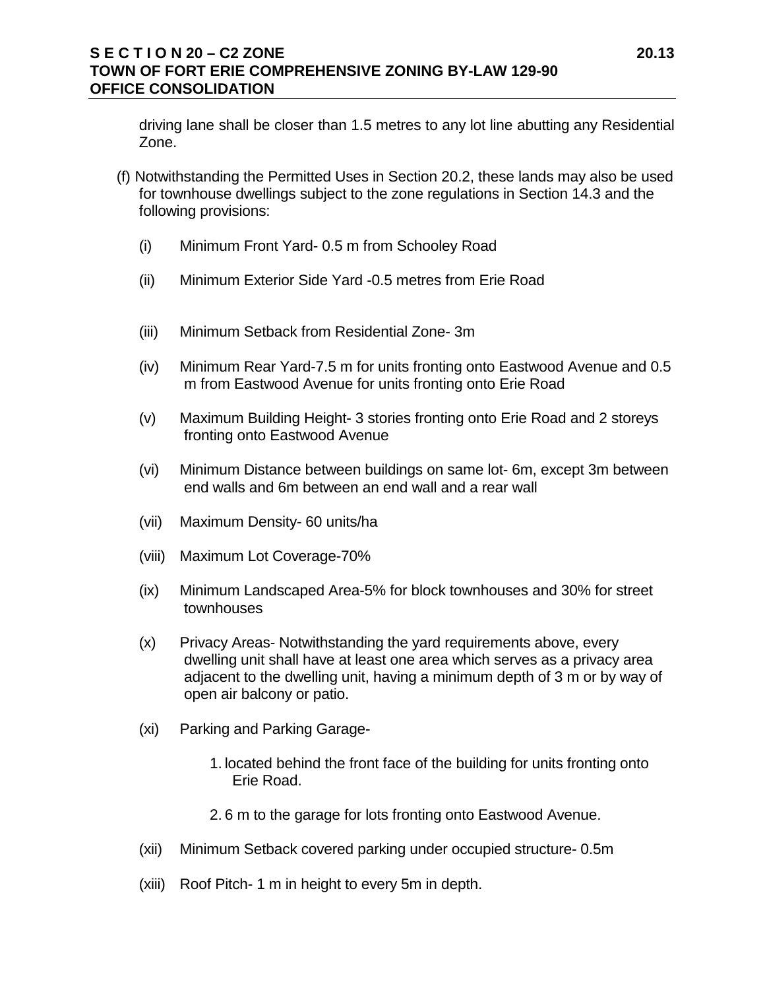## **S E C T I O N 20 – C2 ZONE 20.13 TOWN OF FORT ERIE COMPREHENSIVE ZONING BY-LAW 129-90 OFFICE CONSOLIDATION**

driving lane shall be closer than 1.5 metres to any lot line abutting any Residential Zone.

- (f) Notwithstanding the Permitted Uses in Section 20.2, these lands may also be used for townhouse dwellings subject to the zone regulations in Section 14.3 and the following provisions:
	- (i) Minimum Front Yard- 0.5 m from Schooley Road
	- (ii) Minimum Exterior Side Yard -0.5 metres from Erie Road
	- (iii) Minimum Setback from Residential Zone- 3m
	- (iv) Minimum Rear Yard-7.5 m for units fronting onto Eastwood Avenue and 0.5 m from Eastwood Avenue for units fronting onto Erie Road
	- (v) Maximum Building Height- 3 stories fronting onto Erie Road and 2 storeys fronting onto Eastwood Avenue
	- (vi) Minimum Distance between buildings on same lot- 6m, except 3m between end walls and 6m between an end wall and a rear wall
	- (vii) Maximum Density- 60 units/ha
	- (viii) Maximum Lot Coverage-70%
	- (ix) Minimum Landscaped Area-5% for block townhouses and 30% for street townhouses
	- (x) Privacy Areas- Notwithstanding the yard requirements above, every dwelling unit shall have at least one area which serves as a privacy area adjacent to the dwelling unit, having a minimum depth of 3 m or by way of open air balcony or patio.
	- (xi) Parking and Parking Garage-
		- 1. located behind the front face of the building for units fronting onto Erie Road.
		- 2. 6 m to the garage for lots fronting onto Eastwood Avenue.
	- (xii) Minimum Setback covered parking under occupied structure- 0.5m
	- (xiii) Roof Pitch- 1 m in height to every 5m in depth.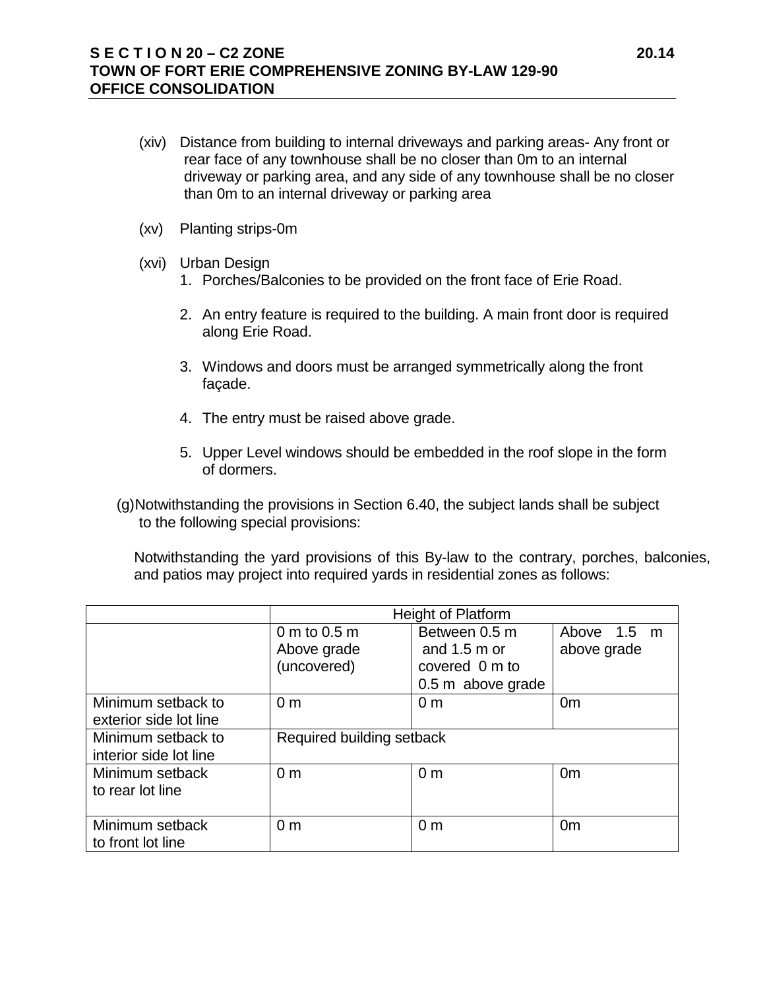## **S E C T I O N 20 – C2 ZONE 20.14 TOWN OF FORT ERIE COMPREHENSIVE ZONING BY-LAW 129-90 OFFICE CONSOLIDATION**

- (xiv) Distance from building to internal driveways and parking areas- Any front or rear face of any townhouse shall be no closer than 0m to an internal driveway or parking area, and any side of any townhouse shall be no closer than 0m to an internal driveway or parking area
- (xv) Planting strips-0m
- (xvi) Urban Design
	- 1. Porches/Balconies to be provided on the front face of Erie Road.
	- 2. An entry feature is required to the building. A main front door is required along Erie Road.
	- 3. Windows and doors must be arranged symmetrically along the front façade.
	- 4. The entry must be raised above grade.
	- 5. Upper Level windows should be embedded in the roof slope in the form of dormers.
- (g)Notwithstanding the provisions in Section 6.40, the subject lands shall be subject to the following special provisions:

Notwithstanding the yard provisions of this By-law to the contrary, porches, balconies, and patios may project into required yards in residential zones as follows:

|                                              | Height of Platform                         |                                                                                |                            |
|----------------------------------------------|--------------------------------------------|--------------------------------------------------------------------------------|----------------------------|
|                                              | 0 m to 0.5 m<br>Above grade<br>(uncovered) | Between 0.5 m<br>and $1.5 \text{ m}$ or<br>covered 0 m to<br>0.5 m above grade | Above 1.5 m<br>above grade |
| Minimum setback to<br>exterior side lot line | 0 <sub>m</sub>                             | 0 <sub>m</sub>                                                                 | 0 <sub>m</sub>             |
| Minimum setback to<br>interior side lot line | Required building setback                  |                                                                                |                            |
| Minimum setback<br>to rear lot line          | 0 <sub>m</sub>                             | 0 <sub>m</sub>                                                                 | 0 <sub>m</sub>             |
| Minimum setback<br>to front lot line         | 0 <sub>m</sub>                             | 0 <sub>m</sub>                                                                 | 0 <sub>m</sub>             |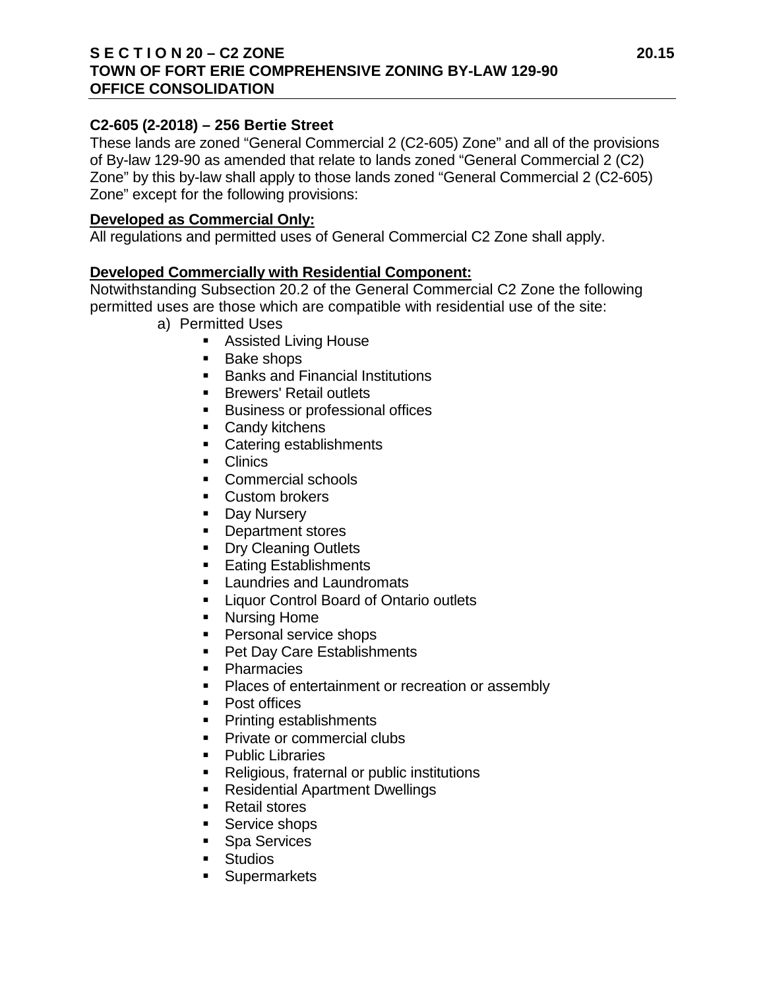## **S E C T I O N 20 – C2 ZONE 20.15 TOWN OF FORT ERIE COMPREHENSIVE ZONING BY-LAW 129-90 OFFICE CONSOLIDATION**

## **C2-605 (2-2018) – 256 Bertie Street**

These lands are zoned "General Commercial 2 (C2-605) Zone" and all of the provisions of By-law 129-90 as amended that relate to lands zoned "General Commercial 2 (C2) Zone" by this by-law shall apply to those lands zoned "General Commercial 2 (C2-605) Zone" except for the following provisions:

### **Developed as Commercial Only:**

All regulations and permitted uses of General Commercial C2 Zone shall apply.

### **Developed Commercially with Residential Component:**

Notwithstanding Subsection 20.2 of the General Commercial C2 Zone the following permitted uses are those which are compatible with residential use of the site:

- a) Permitted Uses
	- Assisted Living House
	- **Bake shops**
	- Banks and Financial Institutions
	- **Brewers' Retail outlets**
	- **Business or professional offices**
	- Candy kitchens
	- Catering establishments
	- **Clinics**
	- **Commercial schools**
	- **Custom brokers**
	- Day Nursery
	- **Department stores**
	- **Dry Cleaning Outlets**
	- Eating Establishments
	- **Laundries and Laundromats**
	- **Example 2** Liquor Control Board of Ontario outlets
	- **Nursing Home**
	- **Personal service shops**
	- Pet Day Care Establishments
	- **•** Pharmacies
	- Places of entertainment or recreation or assembly
	- Post offices
	- Printing establishments
	- Private or commercial clubs
	- Public Libraries
	- Religious, fraternal or public institutions
	- **Residential Apartment Dwellings**
	- Retail stores
	- Service shops
	- **Spa Services**
	- **Studios**
	- **Supermarkets**